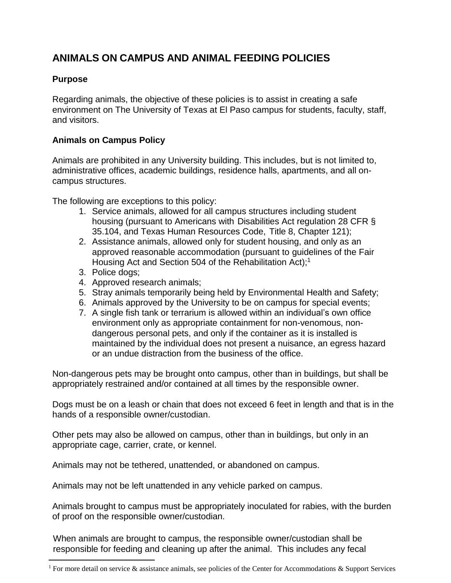## **ANIMALS ON CAMPUS AND ANIMAL FEEDING POLICIES**

## **Purpose**

 $\overline{a}$ 

Regarding animals, the objective of these policies is to assist in creating a safe environment on The University of Texas at El Paso campus for students, faculty, staff, and visitors.

## **Animals on Campus Policy**

Animals are prohibited in any University building. This includes, but is not limited to, administrative offices, academic buildings, residence halls, apartments, and all oncampus structures.

The following are exceptions to this policy:

- 1. Service animals, allowed for all campus structures including student housing (pursuant to Americans with Disabilities Act regulation 28 CFR § 35.104, and Texas Human Resources Code, Title 8, Chapter 121);
- 2. Assistance animals, allowed only for student housing, and only as an approved reasonable accommodation (pursuant to guidelines of the Fair Housing Act and Section 504 of the Rehabilitation Act);<sup>1</sup>
- 3. Police dogs;
- 4. Approved research animals;
- 5. Stray animals temporarily being held by Environmental Health and Safety;
- 6. Animals approved by the University to be on campus for special events;
- 7. A single fish tank or terrarium is allowed within an individual's own office environment only as appropriate containment for non-venomous, nondangerous personal pets, and only if the container as it is installed is maintained by the individual does not present a nuisance, an egress hazard or an undue distraction from the business of the office.

Non-dangerous pets may be brought onto campus, other than in buildings, but shall be appropriately restrained and/or contained at all times by the responsible owner.

Dogs must be on a leash or chain that does not exceed 6 feet in length and that is in the hands of a responsible owner/custodian.

Other pets may also be allowed on campus, other than in buildings, but only in an appropriate cage, carrier, crate, or kennel.

Animals may not be tethered, unattended, or abandoned on campus.

Animals may not be left unattended in any vehicle parked on campus.

Animals brought to campus must be appropriately inoculated for rabies, with the burden of proof on the responsible owner/custodian.

When animals are brought to campus, the responsible owner/custodian shall be responsible for feeding and cleaning up after the animal. This includes any fecal

<sup>&</sup>lt;sup>1</sup> For more detail on service & assistance animals, see policies of the Center for Accommodations & Support Services